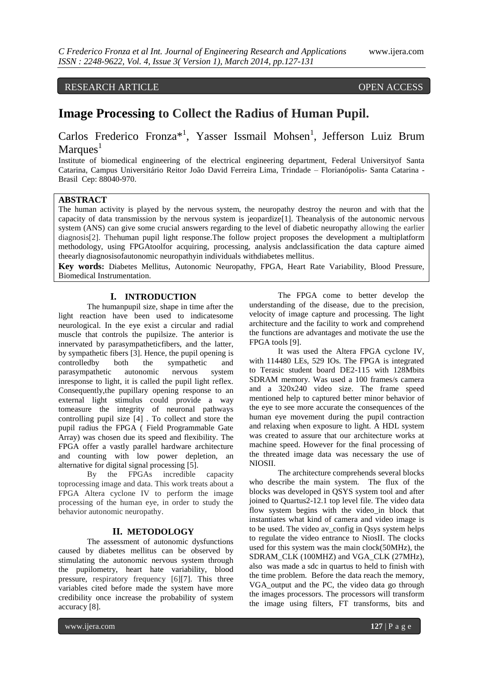# RESEARCH ARTICLE OPEN ACCESS

# **Image Processing to Collect the Radius of Human Pupil.**

Carlos Frederico Fronza<sup>\*1</sup>, Yasser Issmail Mohsen<sup>1</sup>, Jefferson Luiz Brum  $M$ arques<sup>1</sup>

Institute of biomedical engineering of the electrical engineering department, Federal Universityof Santa Catarina, Campus Universitário Reitor João David Ferreira Lima, Trindade – Florianópolis- Santa Catarina - Brasil Cep: 88040-970.

# **ABSTRACT**

The human activity is played by the nervous system, the neuropathy destroy the neuron and with that the capacity of data transmission by the nervous system is jeopardize[1]. Theanalysis of the autonomic nervous system (ANS) can give some crucial answers regarding to the level of diabetic neuropathy allowing the earlier diagnosis[2]. Thehuman pupil light response.The follow project proposes the development a multiplatform methodology, using FPGAtoolfor acquiring, processing, analysis andclassification the data capture aimed theearly diagnosisofautonomic neuropathyin individuals withdiabetes mellitus.

**Key words:** Diabetes Mellitus, Autonomic Neuropathy, FPGA, Heart Rate Variability, Blood Pressure, Biomedical Instrumentation.

### **I. INTRODUCTION**

The humanpupil size, shape in time after the light reaction have been used to indicatesome neurological. In the eye exist a circular and radial muscle that controls the pupilsize. The anterior is innervated by parasympatheticfibers, and the latter, by sympathetic fibers [3]. Hence, the pupil opening is controlledby both the sympathetic and parasympathetic autonomic nervous system inresponse to light, it is called the pupil light reflex. Consequently,the pupillary opening response to an external light stimulus could provide a way tomeasure the integrity of neuronal pathways controlling pupil size  $\begin{bmatrix} 4 \end{bmatrix}$ . To collect and store the pupil radius the FPGA ( Field Programmable Gate Array) was chosen due its speed and flexibility. The FPGA offer a vastly parallel hardware architecture and counting with low power depletion, an alternative for digital signal processing [5].

By the FPGAs incredible capacity toprocessing image and data. This work treats about a FPGA Altera cyclone IV to perform the image processing of the human eye, in order to study the behavior autonomic neuropathy.

#### **II. METODOLOGY**

The assessment of autonomic dysfunctions caused by diabetes mellitus can be observed by stimulating the autonomic nervous system through the pupilometry, heart hate variability, blood pressure, respiratory frequency [6][7]. This three variables cited before made the system have more credibility once increase the probability of system accuracy [8].

The FPGA come to better develop the understanding of the disease, due to the precision, velocity of image capture and processing. The light architecture and the facility to work and comprehend the functions are advantages and motivate the use the FPGA tools [9].

It was used the Altera FPGA cyclone IV, with 114480 LEs, 529 IOs. The FPGA is integrated to Terasic student board DE2-115 with 128Mbits SDRAM memory. Was used a 100 frames/s camera and a 320x240 video size. The frame speed mentioned help to captured better minor behavior of the eye to see more accurate the consequences of the human eye movement during the pupil contraction and relaxing when exposure to light. A HDL system was created to assure that our architecture works at machine speed. However for the final processing of the threated image data was necessary the use of NIOSII.

The architecture comprehends several blocks who describe the main system. The flux of the blocks was developed in QSYS system tool and after joined to Quartus2-12.1 top level file. The video data flow system begins with the video\_in block that instantiates what kind of camera and video image is to be used. The video av\_config in Qsys system helps to regulate the video entrance to NiosII. The clocks used for this system was the main clock(50MHz), the SDRAM\_CLK (100MHZ) and VGA\_CLK (27MHz), also was made a sdc in quartus to held to finish with the time problem. Before the data reach the memory, VGA\_output and the PC, the video data go through the images processors. The processors will transform the image using filters, FT transforms, bits and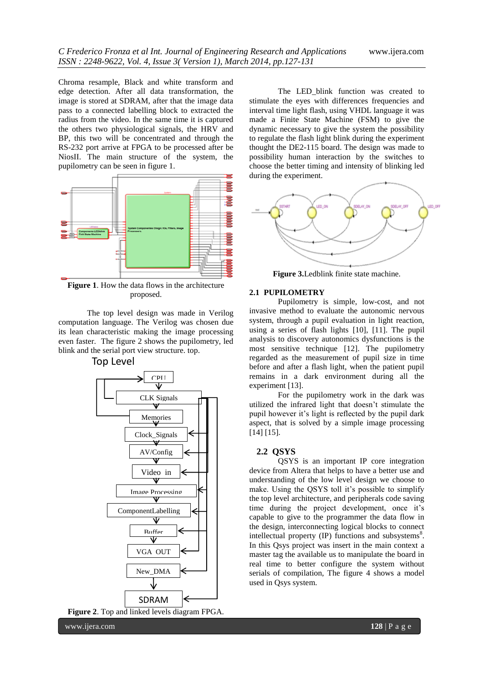Chroma resample, Black and white transform and edge detection. After all data transformation, the image is stored at SDRAM, after that the image data pass to a connected labelling block to extracted the radius from the video. In the same time it is captured the others two physiological signals, the HRV and BP, this two will be concentrated and through the RS-232 port arrive at FPGA to be processed after be NiosII. The main structure of the system, the pupilometry can be seen in figure 1.



**Figure 1**. How the data flows in the architecture proposed.

The top level design was made in Verilog computation language. The Verilog was chosen due its lean characteristic making the image processing even faster. The figure 2 shows the pupilometry, led blink and the serial port view structure. top.

Top Level



**Figure 2**. Top and linked levels diagram FPGA.

The LED\_blink function was created to stimulate the eyes with differences frequencies and interval time light flash, using VHDL language it was made a Finite State Machine (FSM) to give the dynamic necessary to give the system the possibility to regulate the flash light blink during the experiment thought the DE2-115 board. The design was made to possibility human interaction by the switches to choose the better timing and intensity of blinking led during the experiment.



**Figure 3.**Ledblink finite state machine.

#### **2.1 PUPILOMETRY**

Pupilometry is simple, low-cost, and not invasive method to evaluate the autonomic nervous system, through a pupil evaluation in light reaction, using a series of flash lights [10], [11]. The pupil analysis to discovery autonomics dysfunctions is the most sensitive technique [12]. The pupilometry regarded as the measurement of pupil size in time before and after a flash light, when the patient pupil remains in a dark environment during all the experiment [13].

For the pupilometry work in the dark was utilized the infrared light that doesn't stimulate the pupil however it's light is reflected by the pupil dark aspect, that is solved by a simple image processing [14] [15].

#### **2.2 QSYS**

QSYS is an important IP core integration device from Altera that helps to have a better use and understanding of the low level design we choose to make. Using the QSYS toll it's possible to simplify the top level architecture, and peripherals code saving time during the project development, once it's capable to give to the programmer the data flow in the design, interconnecting logical blocks to connect intellectual property  $(IP)$  functions and subsystems<sup>8</sup>. In this Qsys project was insert in the main context a master tag the available us to manipulate the board in real time to better configure the system without serials of compilation, The figure 4 shows a model used in Qsys system.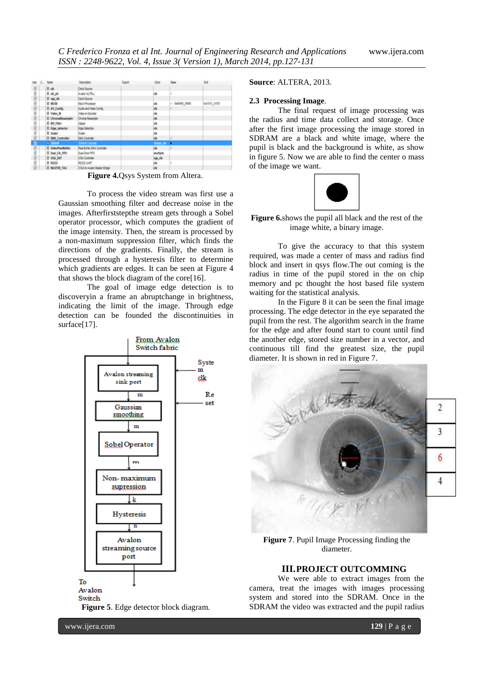

**Figure 4.**Qsys System from Altera.

To process the video stream was first use a Gaussian smoothing filter and decrease noise in the images. Afterfirststepthe stream gets through a Sobel operator processor, which computes the gradient of the image intensity. Then, the stream is processed by a non-maximum suppression filter, which finds the directions of the gradients. Finally, the stream is processed through a hysteresis filter to determine which gradients are edges. It can be seen at Figure 4 that shows the block diagram of the core[16].

The goal of image edge detection is to discoveryin a frame an abruptchange in brightness, indicating the limit of the image. Through edge detection can be founded the discontinuities in surface[17].



**Source**: ALTERA, 2013.

#### **2.3 Processing Image**.

The final request of image processing was the radius and time data collect and storage. Once after the first image processing the image stored in SDRAM are a black and white image, where the pupil is black and the background is white, as show in figure 5. Now we are able to find the center o mass of the image we want.



#### **Figure 6.**shows the pupil all black and the rest of the image white, a binary image.

To give the accuracy to that this system required, was made a center of mass and radius find block and insert in qsys flow.The out coming is the radius in time of the pupil stored in the on chip memory and pc thought the host based file system waiting for the statistical analysis.

In the Figure 8 it can be seen the final image processing. The edge detector in the eye separated the pupil from the rest. The algorithm search in the frame for the edge and after found start to count until find the another edge, stored size number in a vector, and continuous till find the greatest size, the pupil diameter. It is shown in red in Figure 7.



**Figure 7**. Pupil Image Processing finding the diameter.

#### **III.PROJECT OUTCOMMING**

We were able to extract images from the camera, treat the images with images processing system and stored into the SDRAM. Once in the SDRAM the video was extracted and the pupil radius

www.ijera.com **129** | P a g e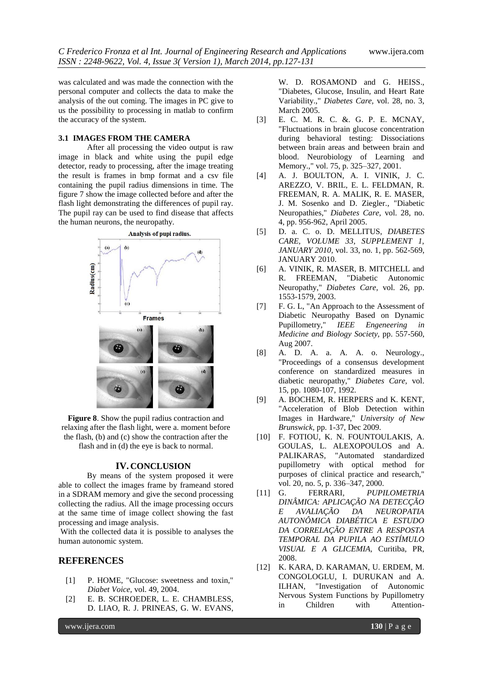was calculated and was made the connection with the personal computer and collects the data to make the analysis of the out coming. The images in PC give to us the possibility to processing in matlab to confirm the accuracy of the system.

## **3.1 IMAGES FROM THE CAMERA**

After all processing the video output is raw image in black and white using the pupil edge detector, ready to processing, after the image treating the result is frames in bmp format and a csv file containing the pupil radius dimensions in time. The figure 7 show the image collected before and after the flash light demonstrating the differences of pupil ray. The pupil ray can be used to find disease that affects the human neurons, the neuropathy.



**Figure 8**. Show the pupil radius contraction and relaxing after the flash light, were a. moment before the flash, (b) and (c) show the contraction after the flash and in (d) the eye is back to normal.

#### **IV. CONCLUSION**

By means of the system proposed it were able to collect the images frame by frameand stored in a SDRAM memory and give the second processing collecting the radius. All the image processing occurs at the same time of image collect showing the fast processing and image analysis.

With the collected data it is possible to analyses the human autonomic system.

### **REFERENCES**

- [1] P. HOME, "Glucose: sweetness and toxin," *Diabet Voice,* vol. 49, 2004.
- [2] E. B. SCHROEDER, L. E. CHAMBLESS, D. LIAO, R. J. PRINEAS, G. W. EVANS,

W. D. ROSAMOND and G. HEISS., "Diabetes, Glucose, Insulin, and Heart Rate Variability.," *Diabetes Care,* vol. 28, no. 3, March 2005.

- [3] E. C. M. R. C. &. G. P. E. MCNAY, "Fluctuations in brain glucose concentration during behavioral testing: Dissociations between brain areas and between brain and blood. Neurobiology of Learning and Memory.," vol. 75, p. 325–327, 2001.
- [4] A. J. BOULTON, A. I. VINIK, J. C. AREZZO, V. BRIL, E. L. FELDMAN, R. FREEMAN, R. A. MALIK, R. E. MASER, J. M. Sosenko and D. Ziegler., "Diabetic Neuropathies," *Diabetes Care,* vol. 28, no. 4, pp. 956-962, April 2005.
- [5] D. a. C. o. D. MELLITUS, *DIABETES CARE, VOLUME 33, SUPPLEMENT 1, JANUARY 2010,* vol. 33, no. 1, pp. 562-569, JANUARY 2010.
- [6] A. VINIK, R. MASER, B. MITCHELL and R. FREEMAN, "Diabetic Autonomic Neuropathy," *Diabetes Care,* vol. 26, pp. 1553-1579, 2003.
- [7] F. G. L, "An Approach to the Assessment of Diabetic Neuropathy Based on Dynamic Pupillometry," *IEEE Engeneering in Medicine and Biology Society,* pp. 557-560, Aug 2007.
- [8] A. D. A. a. A. A. o. Neurology., "Proceedings of a consensus development conference on standardized measures in diabetic neuropathy," *Diabetes Care,* vol. 15, pp. 1080-107, 1992.
- [9] A. BOCHEM, R. HERPERS and K. KENT, "Acceleration of Blob Detection within Images in Hardware," *University of New Brunswick,* pp. 1-37, Dec 2009.
- [10] F. FOTIOU, K. N. FOUNTOULAKIS, A. GOULAS, L. ALEXOPOULOS and A. PALIKARAS, "Automated standardized pupillometry with optical method for purposes of clinical practice and research," vol. 20, no. 5, p. 336–347, 2000.
- [11] G. FERRARI, *PUPILOMETRIA DINÂMICA: APLICAÇÃO NA DETECÇÃO E AVALIAÇÃO DA NEUROPATIA AUTONÔMICA DIABÉTICA E ESTUDO DA CORRELAÇÃO ENTRE A RESPOSTA TEMPORAL DA PUPILA AO ESTÍMULO VISUAL E A GLICEMIA,* Curitiba, PR, 2008.
- [12] K. KARA, D. KARAMAN, U. ERDEM, M. CONGOLOGLU, I. DURUKAN and A. ILHAN, "Investigation of Autonomic Nervous System Functions by Pupillometry in Children with Attention-